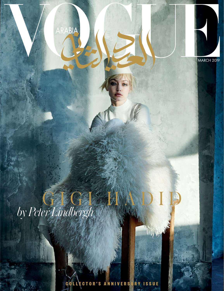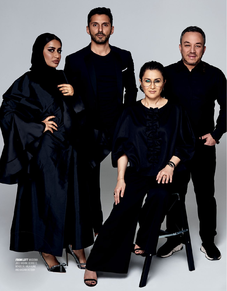**FROM LEFT** MASOOMA JALIL HASHIM, GEORGE EL MENDELEK, HALA AJAM, AND BASSAM FATTOUH

m

 $\bullet$ 

Rell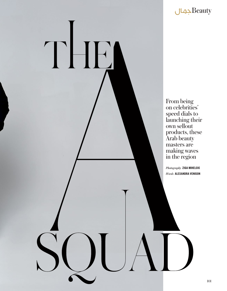

From being on celebrities' speed dials to launching their own sellout products, these Arab beauty masters are making waves in the region

THE

*Photography* ZIGA MIHELCIC *Words* ALEXANDRA VENISON